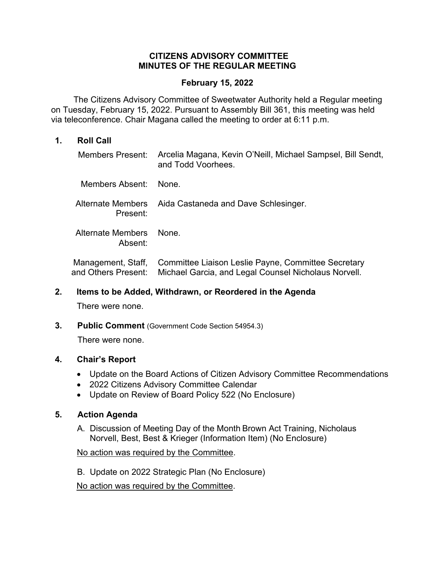## **CITIZENS ADVISORY COMMITTEE MINUTES OF THE REGULAR MEETING**

#### **February 15, 2022**

 The Citizens Advisory Committee of Sweetwater Authority held a Regular meeting on Tuesday, February 15, 2022. Pursuant to Assembly Bill 361, this meeting was held via teleconference. Chair Magana called the meeting to order at 6:11 p.m.

#### **1. Roll Call**

| Members Present:                          | Arcelia Magana, Kevin O'Neill, Michael Sampsel, Bill Sendt,<br>and Todd Voorhees.                           |
|-------------------------------------------|-------------------------------------------------------------------------------------------------------------|
| Members Absent:                           | None.                                                                                                       |
| <b>Alternate Members</b><br>Present:      | Aida Castaneda and Dave Schlesinger.                                                                        |
| Alternate Members<br>Absent:              | <b>None</b>                                                                                                 |
| Management, Staff,<br>and Others Present: | Committee Liaison Leslie Payne, Committee Secretary<br>Michael Garcia, and Legal Counsel Nicholaus Norvell. |

## **2. Items to be Added, Withdrawn, or Reordered in the Agenda**

There were none.

**3. Public Comment** (Government Code Section 54954.3)

There were none.

## **4. Chair's Report**

- Update on the Board Actions of Citizen Advisory Committee Recommendations
- 2022 Citizens Advisory Committee Calendar
- Update on Review of Board Policy 522 (No Enclosure)

## **5. Action Agenda**

A. Discussion of Meeting Day of the Month Brown Act Training, Nicholaus Norvell, Best, Best & Krieger (Information Item) (No Enclosure)

## No action was required by the Committee.

B. Update on 2022 Strategic Plan (No Enclosure)

No action was required by the Committee.